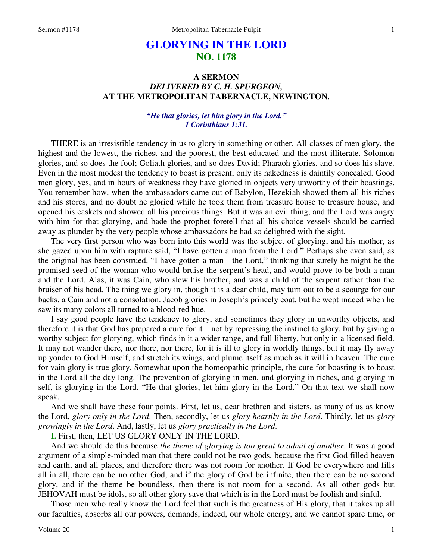# **GLORYING IN THE LORD NO. 1178**

# **A SERMON**  *DELIVERED BY C. H. SPURGEON,*  **AT THE METROPOLITAN TABERNACLE, NEWINGTON.**

### *"He that glories, let him glory in the Lord." 1 Corinthians 1:31.*

THERE is an irresistible tendency in us to glory in something or other. All classes of men glory, the highest and the lowest, the richest and the poorest, the best educated and the most illiterate. Solomon glories, and so does the fool; Goliath glories, and so does David; Pharaoh glories, and so does his slave. Even in the most modest the tendency to boast is present, only its nakedness is daintily concealed. Good men glory, yes, and in hours of weakness they have gloried in objects very unworthy of their boastings. You remember how, when the ambassadors came out of Babylon, Hezekiah showed them all his riches and his stores, and no doubt he gloried while he took them from treasure house to treasure house, and opened his caskets and showed all his precious things. But it was an evil thing, and the Lord was angry with him for that glorying, and bade the prophet foretell that all his choice vessels should be carried away as plunder by the very people whose ambassadors he had so delighted with the sight.

The very first person who was born into this world was the subject of glorying, and his mother, as she gazed upon him with rapture said, "I have gotten a man from the Lord." Perhaps she even said, as the original has been construed, "I have gotten a man—the Lord," thinking that surely he might be the promised seed of the woman who would bruise the serpent's head, and would prove to be both a man and the Lord. Alas, it was Cain, who slew his brother, and was a child of the serpent rather than the bruiser of his head. The thing we glory in, though it is a dear child, may turn out to be a scourge for our backs, a Cain and not a consolation. Jacob glories in Joseph's princely coat, but he wept indeed when he saw its many colors all turned to a blood-red hue.

I say good people have the tendency to glory, and sometimes they glory in unworthy objects, and therefore it is that God has prepared a cure for it—not by repressing the instinct to glory, but by giving a worthy subject for glorying, which finds in it a wider range, and full liberty, but only in a licensed field. It may not wander there, nor there, nor there, for it is ill to glory in worldly things, but it may fly away up yonder to God Himself, and stretch its wings, and plume itself as much as it will in heaven. The cure for vain glory is true glory. Somewhat upon the homeopathic principle, the cure for boasting is to boast in the Lord all the day long. The prevention of glorying in men, and glorying in riches, and glorying in self, is glorying in the Lord. "He that glories, let him glory in the Lord." On that text we shall now speak.

And we shall have these four points. First, let us, dear brethren and sisters, as many of us as know the Lord, *glory only in the Lord*. Then, secondly, let us *glory heartily in the Lord*. Thirdly, let us *glory growingly in the Lord*. And, lastly, let us *glory practically in the Lord*.

**I.** First, then, LET US GLORY ONLY IN THE LORD.

And we should do this because *the theme of glorying is too great to admit of another*. It was a good argument of a simple-minded man that there could not be two gods, because the first God filled heaven and earth, and all places, and therefore there was not room for another. If God be everywhere and fills all in all, there can be no other God, and if the glory of God be infinite, then there can be no second glory, and if the theme be boundless, then there is not room for a second. As all other gods but JEHOVAH must be idols, so all other glory save that which is in the Lord must be foolish and sinful.

Those men who really know the Lord feel that such is the greatness of His glory, that it takes up all our faculties, absorbs all our powers, demands, indeed, our whole energy, and we cannot spare time, or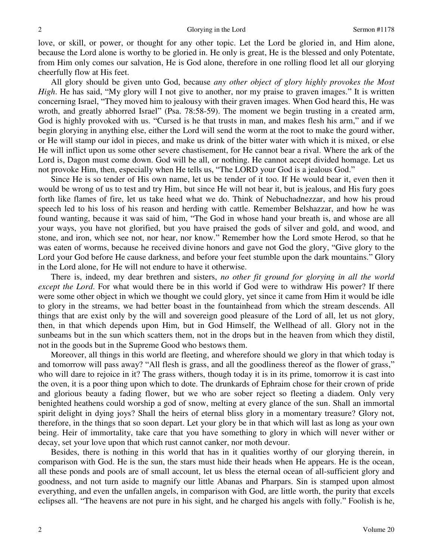love, or skill, or power, or thought for any other topic. Let the Lord be gloried in, and Him alone, because the Lord alone is worthy to be gloried in. He only is great, He is the blessed and only Potentate, from Him only comes our salvation, He is God alone, therefore in one rolling flood let all our glorying cheerfully flow at His feet.

All glory should be given unto God, because *any other object of glory highly provokes the Most High*. He has said, "My glory will I not give to another, nor my praise to graven images." It is written concerning Israel, "They moved him to jealousy with their graven images. When God heard this, He was wroth, and greatly abhorred Israel" (Psa. 78:58-59). The moment we begin trusting in a created arm, God is highly provoked with us. "Cursed is he that trusts in man, and makes flesh his arm," and if we begin glorying in anything else, either the Lord will send the worm at the root to make the gourd wither, or He will stamp our idol in pieces, and make us drink of the bitter water with which it is mixed, or else He will inflict upon us some other severe chastisement, for He cannot bear a rival. Where the ark of the Lord is, Dagon must come down. God will be all, or nothing. He cannot accept divided homage. Let us not provoke Him, then, especially when He tells us, "The LORD your God is a jealous God."

Since He is so tender of His own name, let us be tender of it too. If He would bear it, even then it would be wrong of us to test and try Him, but since He will not bear it, but is jealous, and His fury goes forth like flames of fire, let us take heed what we do. Think of Nebuchadnezzar, and how his proud speech led to his loss of his reason and herding with cattle. Remember Belshazzar, and how he was found wanting, because it was said of him, "The God in whose hand your breath is, and whose are all your ways, you have not glorified, but you have praised the gods of silver and gold, and wood, and stone, and iron, which see not, nor hear, nor know." Remember how the Lord smote Herod, so that he was eaten of worms, because he received divine honors and gave not God the glory, "Give glory to the Lord your God before He cause darkness, and before your feet stumble upon the dark mountains." Glory in the Lord alone, for He will not endure to have it otherwise.

There is, indeed, my dear brethren and sisters, *no other fit ground for glorying in all the world except the Lord*. For what would there be in this world if God were to withdraw His power? If there were some other object in which we thought we could glory, yet since it came from Him it would be idle to glory in the streams, we had better boast in the fountainhead from which the stream descends. All things that are exist only by the will and sovereign good pleasure of the Lord of all, let us not glory, then, in that which depends upon Him, but in God Himself, the Wellhead of all. Glory not in the sunbeams but in the sun which scatters them, not in the drops but in the heaven from which they distil, not in the goods but in the Supreme Good who bestows them.

Moreover, all things in this world are fleeting, and wherefore should we glory in that which today is and tomorrow will pass away? "All flesh is grass, and all the goodliness thereof as the flower of grass," who will dare to rejoice in it? The grass withers, though today it is in its prime, tomorrow it is cast into the oven, it is a poor thing upon which to dote. The drunkards of Ephraim chose for their crown of pride and glorious beauty a fading flower, but we who are sober reject so fleeting a diadem. Only very benighted heathens could worship a god of snow, melting at every glance of the sun. Shall an immortal spirit delight in dying joys? Shall the heirs of eternal bliss glory in a momentary treasure? Glory not, therefore, in the things that so soon depart. Let your glory be in that which will last as long as your own being. Heir of immortality, take care that you have something to glory in which will never wither or decay, set your love upon that which rust cannot canker, nor moth devour.

Besides, there is nothing in this world that has in it qualities worthy of our glorying therein, in comparison with God. He is the sun, the stars must hide their heads when He appears. He is the ocean, all these ponds and pools are of small account, let us bless the eternal ocean of all-sufficient glory and goodness, and not turn aside to magnify our little Abanas and Pharpars. Sin is stamped upon almost everything, and even the unfallen angels, in comparison with God, are little worth, the purity that excels eclipses all. "The heavens are not pure in his sight, and he charged his angels with folly." Foolish is he,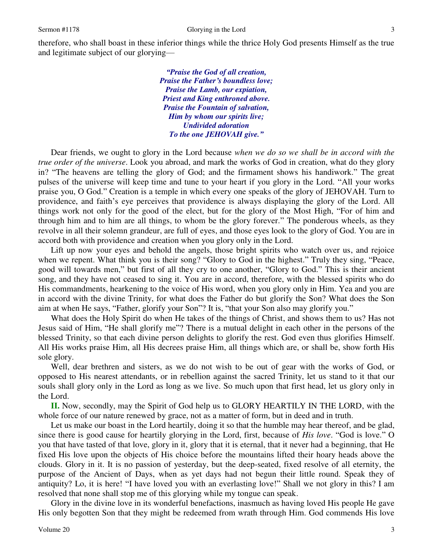therefore, who shall boast in these inferior things while the thrice Holy God presents Himself as the true and legitimate subject of our glorying—

> *"Praise the God of all creation, Praise the Father's boundless love; Praise the Lamb, our expiation, Priest and King enthroned above. Praise the Fountain of salvation, Him by whom our spirits live; Undivided adoration To the one JEHOVAH give."*

Dear friends, we ought to glory in the Lord because *when we do so we shall be in accord with the true order of the universe*. Look you abroad, and mark the works of God in creation, what do they glory in? "The heavens are telling the glory of God; and the firmament shows his handiwork." The great pulses of the universe will keep time and tune to your heart if you glory in the Lord. "All your works praise you, O God." Creation is a temple in which every one speaks of the glory of JEHOVAH. Turn to providence, and faith's eye perceives that providence is always displaying the glory of the Lord. All things work not only for the good of the elect, but for the glory of the Most High, "For of him and through him and to him are all things, to whom be the glory forever." The ponderous wheels, as they revolve in all their solemn grandeur, are full of eyes, and those eyes look to the glory of God. You are in accord both with providence and creation when you glory only in the Lord.

Lift up now your eyes and behold the angels, those bright spirits who watch over us, and rejoice when we repent. What think you is their song? "Glory to God in the highest." Truly they sing, "Peace, good will towards men," but first of all they cry to one another, "Glory to God." This is their ancient song, and they have not ceased to sing it. You are in accord, therefore, with the blessed spirits who do His commandments, hearkening to the voice of His word, when you glory only in Him. Yea and you are in accord with the divine Trinity, for what does the Father do but glorify the Son? What does the Son aim at when He says, "Father, glorify your Son"? It is, "that your Son also may glorify you."

What does the Holy Spirit do when He takes of the things of Christ, and shows them to us? Has not Jesus said of Him, "He shall glorify me"? There is a mutual delight in each other in the persons of the blessed Trinity, so that each divine person delights to glorify the rest. God even thus glorifies Himself. All His works praise Him, all His decrees praise Him, all things which are, or shall be, show forth His sole glory.

Well, dear brethren and sisters, as we do not wish to be out of gear with the works of God, or opposed to His nearest attendants, or in rebellion against the sacred Trinity, let us stand to it that our souls shall glory only in the Lord as long as we live. So much upon that first head, let us glory only in the Lord.

**II.** Now, secondly, may the Spirit of God help us to GLORY HEARTILY IN THE LORD, with the whole force of our nature renewed by grace, not as a matter of form, but in deed and in truth.

Let us make our boast in the Lord heartily, doing it so that the humble may hear thereof, and be glad, since there is good cause for heartily glorying in the Lord, first, because of *His love*. "God is love." O you that have tasted of that love, glory in it, glory that it is eternal, that it never had a beginning, that He fixed His love upon the objects of His choice before the mountains lifted their hoary heads above the clouds. Glory in it. It is no passion of yesterday, but the deep-seated, fixed resolve of all eternity, the purpose of the Ancient of Days, when as yet days had not begun their little round. Speak they of antiquity? Lo, it is here! "I have loved you with an everlasting love!" Shall we not glory in this? I am resolved that none shall stop me of this glorying while my tongue can speak.

Glory in the divine love in its wonderful benefactions, inasmuch as having loved His people He gave His only begotten Son that they might be redeemed from wrath through Him. God commends His love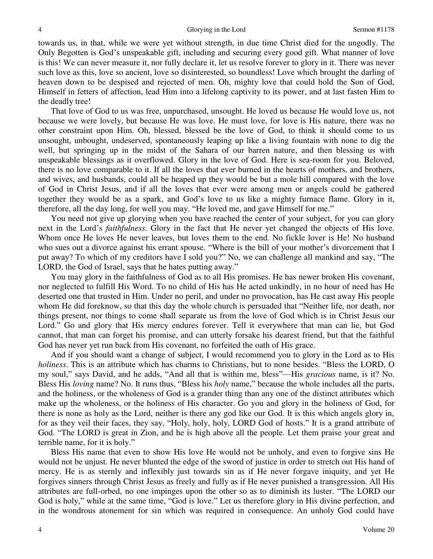towards us, in that, while we were yet without strength, in due time Christ died for the ungodly. The Only Begotten is God's unspeakable gift, including and securing every good gift. What manner of love is this! We can never measure it, nor fully declare it, let us resolve forever to glory in it. There was never such love as this, love so ancient, love so disinterested, so boundless! Love which brought the darling of heaven down to be despised and rejected of men. Oh, mighty love that could hold the Son of God, Himself in fetters of affection, lead Him into a lifelong captivity to its power, and at last fasten Him to the deadly tree!

That love of God to us was free, unpurchased, unsought. He loved us because He would love us, not because we were lovely, but because He was love. He must love, for love is His nature, there was no other constraint upon Him. Oh, blessed, blessed be the love of God, to think it should come to us unsought, unbought, undeserved, spontaneously leaping up like a living fountain with none to dig the well, but springing up in the midst of the Sahara of our barren nature, and then blessing us with unspeakable blessings as it overflowed. Glory in the love of God. Here is sea-room for you. Beloved, there is no love comparable to it. If all the loves that ever burned in the hearts of mothers, and brothers, and wives, and husbands, could all be heaped up they would be but a mole hill compared with the love of God in Christ Jesus, and if all the loves that ever were among men or angels could be gathered together they would be as a spark, and God's love to us like a mighty furnace flame. Glory in it, therefore, all the day long, for well you may. "He loved me, and gave Himself for me."

You need not give up glorying when you have reached the center of your subject, for you can glory next in the Lord's *faithfulness*. Glory in the fact that He never yet changed the objects of His love. Whom once He loves He never leaves, but loves them to the end. No fickle lover is He! No husband who sues out a divorce against his errant spouse. "Where is the bill of your mother's divorcement that I put away? To which of my creditors have I sold you?" No, we can challenge all mankind and say, "The LORD, the God of Israel, says that he hates putting away."

You may glory in the faithfulness of God as to all His promises. He has newer broken His covenant, nor neglected to fulfill His Word. To no child of His has He acted unkindly, in no hour of need has He deserted one that trusted in Him. Under no peril, and under no provocation, has He cast away His people whom He did foreknow, so that this day the whole church is persuaded that "Neither life, nor death, nor things present, nor things to come shall separate us from the love of God which is in Christ Jesus our Lord." Go and glory that His mercy endures forever. Tell it everywhere that man can lie, but God cannot, that man can forget his promise, and can utterly forsake his dearest friend, but that the faithful God has never yet run back from His covenant, no forfeited the oath of His grace.

And if you should want a change of subject, I would recommend you to glory in the Lord as to His *holiness*. This is an attribute which has charms to Christians, but to none besides. "Bless the LORD, O my soul," says David, and he adds, "And all that is within me, bless"—His *gracious* name, is it? No. Bless His *loving* name? No. It runs thus, "Bless his *holy* name," because the whole includes all the parts, and the holiness, or the wholeness of God is a grander thing than any one of the distinct attributes which make up the wholeness, or the holiness of His character. Go you and glory in the holiness of God, for there is none as holy as the Lord, neither is there any god like our God. It is this which angels glory in, for as they veil their faces, they say, "Holy, holy, holy, LORD God of hosts." It is a grand attribute of God. "The LORD is great in Zion, and he is high above all the people. Let them praise your great and terrible name, for it is holy."

Bless His name that even to show His love He would not be unholy, and even to forgive sins He would not be unjust. He never blunted the edge of the sword of justice in order to stretch out His hand of mercy. He is as sternly and inflexibly just towards sin as if He never forgave iniquity, and yet He forgives sinners through Christ Jesus as freely and fully as if He never punished a transgression. All His attributes are full-orbed, no one impinges upon the other so as to diminish its luster. "The LORD our God is holy," while at the same time, "God is love." Let us therefore glory in His divine perfection, and in the wondrous atonement for sin which was required in consequence. An unholy God could have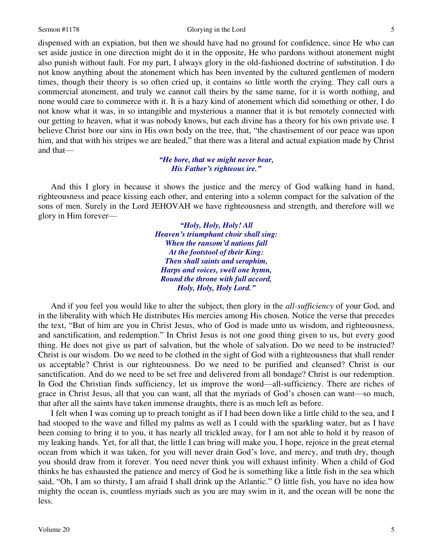#### Sermon #1178 Glorying in the Lord

dispensed with an expiation, but then we should have had no ground for confidence, since He who can set aside justice in one direction might do it in the opposite, He who pardons without atonement might also punish without fault. For my part, I always glory in the old-fashioned doctrine of substitution. I do not know anything about the atonement which has been invented by the cultured gentlemen of modern times, though their theory is so often cried up, it contains so little worth the crying. They call ours a commercial atonement, and truly we cannot call theirs by the same name, for it is worth nothing, and none would care to commerce with it. It is a hazy kind of atonement which did something or other, I do not know what it was, in so intangible and mysterious a manner that it is but remotely connected with our getting to heaven, what it was nobody knows, but each divine has a theory for his own private use. I believe Christ bore our sins in His own body on the tree, that, "the chastisement of our peace was upon him, and that with his stripes we are healed," that there was a literal and actual expiation made by Christ and that—

### *"He bore, that we might never bear, His Father's righteous ire."*

 And this I glory in because it shows the justice and the mercy of God walking hand in hand, righteousness and peace kissing each other, and entering into a solemn compact for the salvation of the sons of men. Surely in the Lord JEHOVAH we have righteousness and strength, and therefore will we glory in Him forever—

> *"Holy, Holy, Holy! All Heaven's triumphant choir shall sing: When the ransom'd nations fall At the footstool of their King: Then shall saints and seraphim, Harps and voices, swell one hymn, Round the throne with full accord, Holy, Holy, Holy Lord."*

 And if you feel you would like to alter the subject, then glory in the *all-sufficiency* of your God, and in the liberality with which He distributes His mercies among His chosen. Notice the verse that precedes the text, "But of him are you in Christ Jesus, who of God is made unto us wisdom, and righteousness, and sanctification, and redemption." In Christ Jesus is not one good thing given to us, but every good thing. He does not give us part of salvation, but the whole of salvation. Do we need to be instructed? Christ is our wisdom. Do we need to be clothed in the sight of God with a righteousness that shall render us acceptable? Christ is our righteousness. Do we need to be purified and cleansed? Christ is our sanctification. And do we need to be set free and delivered from all bondage? Christ is our redemption. In God the Christian finds sufficiency, let us improve the word—all-sufficiency. There are riches of grace in Christ Jesus, all that you can want, all that the myriads of God's chosen can want—so much, that after all the saints have taken immense draughts, there is as much left as before.

I felt when I was coming up to preach tonight as if I had been down like a little child to the sea, and I had stooped to the wave and filled my palms as well as I could with the sparkling water, but as I have been coming to bring it to you, it has nearly all trickled away, for I am not able to hold it by reason of my leaking hands. Yet, for all that, the little I can bring will make you, I hope, rejoice in the great eternal ocean from which it was taken, for you will never drain God's love, and mercy, and truth dry, though you should draw from it forever. You need never think you will exhaust infinity. When a child of God thinks he has exhausted the patience and mercy of God he is something like a little fish in the sea which said, "Oh, I am so thirsty, I am afraid I shall drink up the Atlantic." O little fish, you have no idea how mighty the ocean is, countless myriads such as you are may swim in it, and the ocean will be none the less.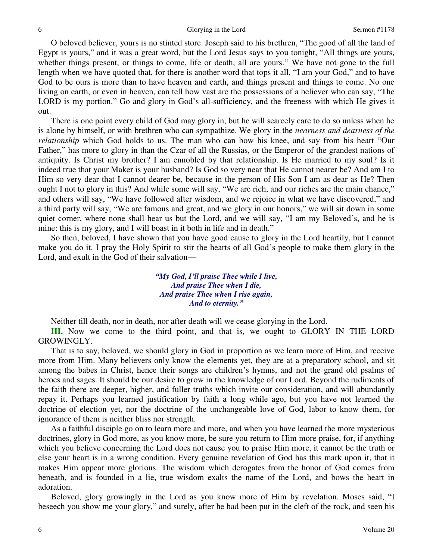O beloved believer, yours is no stinted store. Joseph said to his brethren, "The good of all the land of Egypt is yours," and it was a great word, but the Lord Jesus says to you tonight, "All things are yours, whether things present, or things to come, life or death, all are yours." We have not gone to the full length when we have quoted that, for there is another word that tops it all, "I am your God," and to have God to be ours is more than to have heaven and earth, and things present and things to come. No one living on earth, or even in heaven, can tell how vast are the possessions of a believer who can say, "The LORD is my portion." Go and glory in God's all-sufficiency, and the freeness with which He gives it out.

There is one point every child of God may glory in, but he will scarcely care to do so unless when he is alone by himself, or with brethren who can sympathize. We glory in the *nearness and dearness of the relationship* which God holds to us. The man who can bow his knee, and say from his heart "Our Father," has more to glory in than the Czar of all the Russias, or the Emperor of the grandest nations of antiquity. Is Christ my brother? I am ennobled by that relationship. Is He married to my soul? Is it indeed true that your Maker is your husband? Is God so very near that He cannot nearer be? And am I to Him so very dear that I cannot dearer be, because in the person of His Son I am as dear as He? Then ought I not to glory in this? And while some will say, "We are rich, and our riches are the main chance," and others will say, "We have followed after wisdom, and we rejoice in what we have discovered," and a third party will say, "We are famous and great, and we glory in our honors," we will sit down in some quiet corner, where none shall hear us but the Lord, and we will say, "I am my Beloved's, and he is mine: this is my glory, and I will boast in it both in life and in death."

So then, beloved, I have shown that you have good cause to glory in the Lord heartily, but I cannot make you do it. I pray the Holy Spirit to stir the hearts of all God's people to make them glory in the Lord, and exult in the God of their salvation—

> *"My God, I'll praise Thee while I live, And praise Thee when I die, And praise Thee when I rise again, And to eternity."*

Neither till death, nor in death, nor after death will we cease glorying in the Lord.

**III.** Now we come to the third point, and that is, we ought to GLORY IN THE LORD GROWINGLY.

That is to say, beloved, we should glory in God in proportion as we learn more of Him, and receive more from Him. Many believers only know the elements yet, they are at a preparatory school, and sit among the babes in Christ, hence their songs are children's hymns, and not the grand old psalms of heroes and sages. It should be our desire to grow in the knowledge of our Lord. Beyond the rudiments of the faith there are deeper, higher, and fuller truths which invite our consideration, and will abundantly repay it. Perhaps you learned justification by faith a long while ago, but you have not learned the doctrine of election yet, nor the doctrine of the unchangeable love of God, labor to know them, for ignorance of them is neither bliss nor strength.

As a faithful disciple go on to learn more and more, and when you have learned the more mysterious doctrines, glory in God more, as you know more, be sure you return to Him more praise, for, if anything which you believe concerning the Lord does not cause you to praise Him more, it cannot be the truth or else your heart is in a wrong condition. Every genuine revelation of God has this mark upon it, that it makes Him appear more glorious. The wisdom which derogates from the honor of God comes from beneath, and is founded in a lie, true wisdom exalts the name of the Lord, and bows the heart in adoration.

Beloved, glory growingly in the Lord as you know more of Him by revelation. Moses said, "I beseech you show me your glory," and surely, after he had been put in the cleft of the rock, and seen his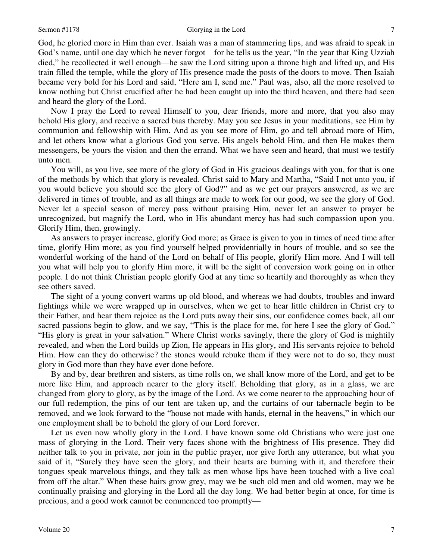#### Sermon #1178 Glorying in the Lord

God, he gloried more in Him than ever. Isaiah was a man of stammering lips, and was afraid to speak in God's name, until one day which he never forgot—for he tells us the year, "In the year that King Uzziah died," he recollected it well enough—he saw the Lord sitting upon a throne high and lifted up, and His train filled the temple, while the glory of His presence made the posts of the doors to move. Then Isaiah became very bold for his Lord and said, "Here am I, send me." Paul was, also, all the more resolved to know nothing but Christ crucified after he had been caught up into the third heaven, and there had seen and heard the glory of the Lord.

Now I pray the Lord to reveal Himself to you, dear friends, more and more, that you also may behold His glory, and receive a sacred bias thereby. May you see Jesus in your meditations, see Him by communion and fellowship with Him. And as you see more of Him, go and tell abroad more of Him, and let others know what a glorious God you serve. His angels behold Him, and then He makes them messengers, be yours the vision and then the errand. What we have seen and heard, that must we testify unto men.

You will, as you live, see more of the glory of God in His gracious dealings with you, for that is one of the methods by which that glory is revealed. Christ said to Mary and Martha, "Said I not unto you, if you would believe you should see the glory of God?" and as we get our prayers answered, as we are delivered in times of trouble, and as all things are made to work for our good, we see the glory of God. Never let a special season of mercy pass without praising Him, never let an answer to prayer be unrecognized, but magnify the Lord, who in His abundant mercy has had such compassion upon you. Glorify Him, then, growingly.

As answers to prayer increase, glorify God more; as Grace is given to you in times of need time after time, glorify Him more; as you find yourself helped providentially in hours of trouble, and so see the wonderful working of the hand of the Lord on behalf of His people, glorify Him more. And I will tell you what will help you to glorify Him more, it will be the sight of conversion work going on in other people. I do not think Christian people glorify God at any time so heartily and thoroughly as when they see others saved.

The sight of a young convert warms up old blood, and whereas we had doubts, troubles and inward fightings while we were wrapped up in ourselves, when we get to hear little children in Christ cry to their Father, and hear them rejoice as the Lord puts away their sins, our confidence comes back, all our sacred passions begin to glow, and we say, "This is the place for me, for here I see the glory of God." "His glory is great in your salvation." Where Christ works savingly, there the glory of God is mightily revealed, and when the Lord builds up Zion, He appears in His glory, and His servants rejoice to behold Him. How can they do otherwise? the stones would rebuke them if they were not to do so, they must glory in God more than they have ever done before.

By and by, dear brethren and sisters, as time rolls on, we shall know more of the Lord, and get to be more like Him, and approach nearer to the glory itself. Beholding that glory, as in a glass, we are changed from glory to glory, as by the image of the Lord. As we come nearer to the approaching hour of our full redemption, the pins of our tent are taken up, and the curtains of our tabernacle begin to be removed, and we look forward to the "house not made with hands, eternal in the heavens," in which our one employment shall be to behold the glory of our Lord forever.

Let us even now wholly glory in the Lord. I have known some old Christians who were just one mass of glorying in the Lord. Their very faces shone with the brightness of His presence. They did neither talk to you in private, nor join in the public prayer, nor give forth any utterance, but what you said of it, "Surely they have seen the glory, and their hearts are burning with it, and therefore their tongues speak marvelous things, and they talk as men whose lips have been touched with a live coal from off the altar." When these hairs grow grey, may we be such old men and old women, may we be continually praising and glorying in the Lord all the day long. We had better begin at once, for time is precious, and a good work cannot be commenced too promptly—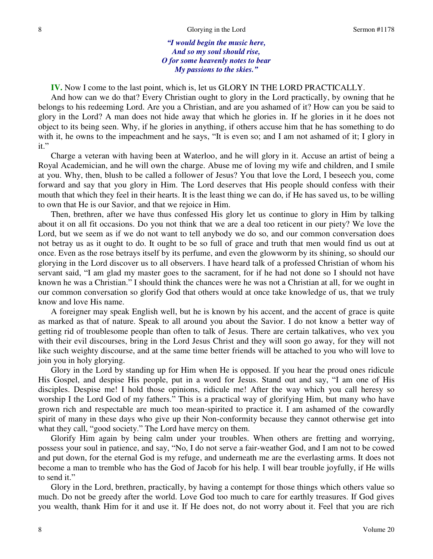*"I would begin the music here, And so my soul should rise, O for some heavenly notes to bear My passions to the skies."*

**IV.** Now I come to the last point, which is, let us GLORY IN THE LORD PRACTICALLY.

And how can we do that? Every Christian ought to glory in the Lord practically, by owning that he belongs to his redeeming Lord. Are you a Christian, and are you ashamed of it? How can you be said to glory in the Lord? A man does not hide away that which he glories in. If he glories in it he does not object to its being seen. Why, if he glories in anything, if others accuse him that he has something to do with it, he owns to the impeachment and he says, "It is even so; and I am not ashamed of it; I glory in it."

Charge a veteran with having been at Waterloo, and he will glory in it. Accuse an artist of being a Royal Academician, and he will own the charge. Abuse me of loving my wife and children, and I smile at you. Why, then, blush to be called a follower of Jesus? You that love the Lord, I beseech you, come forward and say that you glory in Him. The Lord deserves that His people should confess with their mouth that which they feel in their hearts. It is the least thing we can do, if He has saved us, to be willing to own that He is our Savior, and that we rejoice in Him.

Then, brethren, after we have thus confessed His glory let us continue to glory in Him by talking about it on all fit occasions. Do you not think that we are a deal too reticent in our piety? We love the Lord, but we seem as if we do not want to tell anybody we do so, and our common conversation does not betray us as it ought to do. It ought to be so full of grace and truth that men would find us out at once. Even as the rose betrays itself by its perfume, and even the glowworm by its shining, so should our glorying in the Lord discover us to all observers. I have heard talk of a professed Christian of whom his servant said, "I am glad my master goes to the sacrament, for if he had not done so I should not have known he was a Christian." I should think the chances were he was not a Christian at all, for we ought in our common conversation so glorify God that others would at once take knowledge of us, that we truly know and love His name.

A foreigner may speak English well, but he is known by his accent, and the accent of grace is quite as marked as that of nature. Speak to all around you about the Savior. I do not know a better way of getting rid of troublesome people than often to talk of Jesus. There are certain talkatives, who vex you with their evil discourses, bring in the Lord Jesus Christ and they will soon go away, for they will not like such weighty discourse, and at the same time better friends will be attached to you who will love to join you in holy glorying.

Glory in the Lord by standing up for Him when He is opposed. If you hear the proud ones ridicule His Gospel, and despise His people, put in a word for Jesus. Stand out and say, "I am one of His disciples. Despise me! I hold those opinions, ridicule me! After the way which you call heresy so worship I the Lord God of my fathers." This is a practical way of glorifying Him, but many who have grown rich and respectable are much too mean-spirited to practice it. I am ashamed of the cowardly spirit of many in these days who give up their Non-conformity because they cannot otherwise get into what they call, "good society." The Lord have mercy on them.

Glorify Him again by being calm under your troubles. When others are fretting and worrying, possess your soul in patience, and say, "No, I do not serve a fair-weather God, and I am not to be cowed and put down, for the eternal God is my refuge, and underneath me are the everlasting arms. It does not become a man to tremble who has the God of Jacob for his help. I will bear trouble joyfully, if He wills to send it."

Glory in the Lord, brethren, practically, by having a contempt for those things which others value so much. Do not be greedy after the world. Love God too much to care for earthly treasures. If God gives you wealth, thank Him for it and use it. If He does not, do not worry about it. Feel that you are rich